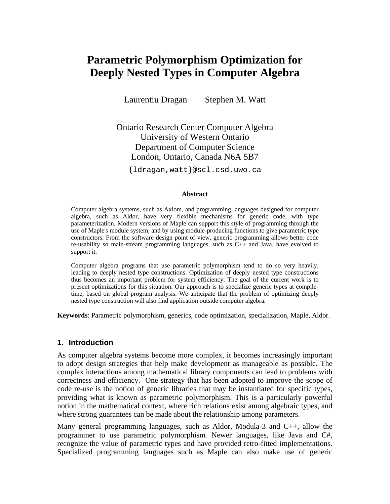# **Parametric Polymorphism Optimization for Deeply Nested Types in Computer Algebra**

Laurentiu Dragan Stephen M. Watt

Ontario Research Center Computer Algebra University of Western Ontario Department of Computer Science London, Ontario, Canada N6A 5B7

{ldragan,watt}@scl.csd.uwo.ca

#### **Abstract**

Computer algebra systems, such as Axiom, and programming languages designed for computer algebra, such as Aldor, have very flexible mechanisms for generic code, with type parameterization. Modern versions of Maple can support this style of programming through the use of Maple's module system, and by using module-producing functions to give parametric type constructors. From the software design point of view, generic programming allows better code re-usability so main-stream programming languages, such as C++ and Java, have evolved to support it.

Computer algebra programs that use parametric polymorphism tend to do so very heavily, leading to deeply nested type constructions. Optimization of deeply nested type constructions thus becomes an important problem for system efficiency. The goal of the current work is to present optimizations for this situation. Our approach is to specialize generic types at compiletime, based on global program analysis. We anticipate that the problem of optimizing deeply nested type construction will also find application outside computer algebra.

**Keywords**: Parametric polymorphism, generics, code optimization, specialization, Maple, Aldor.

### **1. Introduction**

As computer algebra systems become more complex, it becomes increasingly important to adopt design strategies that help make development as manageable as possible. The complex interactions among mathematical library components can lead to problems with correctness and efficiency. One strategy that has been adopted to improve the scope of code re-use is the notion of generic libraries that may be instantiated for specific types, providing what is known as parametric polymorphism. This is a particularly powerful notion in the mathematical context, where rich relations exist among algebraic types, and where strong guarantees can be made about the relationship among parameters.

Many general programming languages, such as Aldor, Modula-3 and C++, allow the programmer to use parametric polymorphism. Newer languages, like Java and C#, recognize the value of parametric types and have provided retro-fitted implementations. Specialized programming languages such as Maple can also make use of generic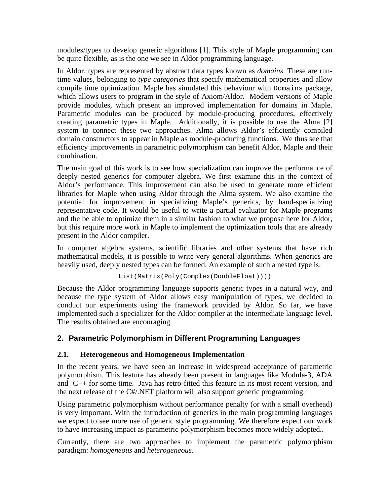modules/types to develop generic algorithms [1]. This style of Maple programming can be quite flexible, as is the one we see in Aldor programming language.

In Aldor, types are represented by abstract data types known as *domains*. These are runtime values, belonging to *type categories* that specify mathematical properties and allow compile time optimization. Maple has simulated this behaviour with Domains package, which allows users to program in the style of Axiom/Aldor. Modern versions of Maple provide modules, which present an improved implementation for domains in Maple. Parametric modules can be produced by module-producing procedures, effectively creating parametric types in Maple. Additionally, it is possible to use the Alma [2] system to connect these two approaches. Alma allows Aldor's efficiently compiled domain constructors to appear in Maple as module-producing functions. We thus see that efficiency improvements in parametric polymorphism can benefit Aldor, Maple and their combination.

The main goal of this work is to see how specialization can improve the performance of deeply nested generics for computer algebra. We first examine this in the context of Aldor's performance. This improvement can also be used to generate more efficient libraries for Maple when using Aldor through the Alma system. We also examine the potential for improvement in specializing Maple's generics, by hand-specializing representative code. It would be useful to write a partial evaluator for Maple programs and the be able to optimize them in a similar fashion to what we propose here for Aldor, but this require more work in Maple to implement the optimization tools that are already present in the Aldor compiler.

In computer algebra systems, scientific libraries and other systems that have rich mathematical models, it is possible to write very general algorithms. When generics are heavily used, deeply nested types can be formed. An example of such a nested type is:

```
List(Matrix(Poly(Complex(DoubleFloat))))
```
Because the Aldor programming language supports generic types in a natural way, and because the type system of Aldor allows easy manipulation of types, we decided to conduct our experiments using the framework provided by Aldor. So far, we have implemented such a specializer for the Aldor compiler at the intermediate language level. The results obtained are encouraging.

# **2. Parametric Polymorphism in Different Programming Languages**

# **2.1. Heterogeneous and Homogeneous Implementation**

In the recent years, we have seen an increase in widespread acceptance of parametric polymorphism. This feature has already been present in languages like Modula-3, ADA and C++ for some time. Java has retro-fitted this feature in its most recent version, and the next release of the C#/.NET platform will also support generic programming.

Using parametric polymorphism without performance penalty (or with a small overhead) is very important. With the introduction of generics in the main programming languages we expect to see more use of generic style programming. We therefore expect our work to have increasing impact as parametric polymorphism becomes more widely adopted..

Currently, there are two approaches to implement the parametric polymorphism paradigm: *homogeneous* and *heterogeneous*.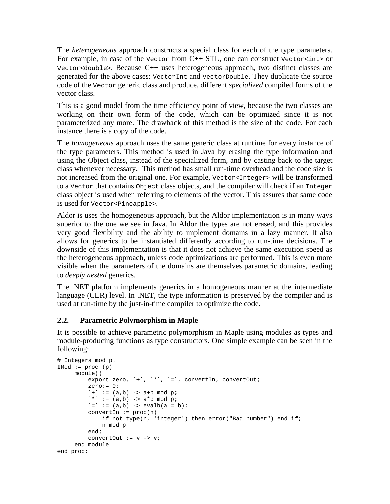The *heterogeneous* approach constructs a special class for each of the type parameters. For example, in case of the Vector from C++ STL, one can construct Vector<int> or Vector<double>. Because C++ uses heterogeneous approach, two distinct classes are generated for the above cases: VectorInt and VectorDouble. They duplicate the source code of the Vector generic class and produce, different *specialized* compiled forms of the vector class.

This is a good model from the time efficiency point of view, because the two classes are working on their own form of the code, which can be optimized since it is not parameterized any more. The drawback of this method is the size of the code. For each instance there is a copy of the code.

The *homogeneous* approach uses the same generic class at runtime for every instance of the type parameters. This method is used in Java by erasing the type information and using the Object class, instead of the specialized form, and by casting back to the target class whenever necessary. This method has small run-time overhead and the code size is not increased from the original one. For example, Vector<Integer> will be transformed to a Vector that contains Object class objects, and the compiler will check if an Integer class object is used when referring to elements of the vector. This assures that same code is used for Vector<Pineapple>.

Aldor is uses the homogeneous approach, but the Aldor implementation is in many ways superior to the one we see in Java. In Aldor the types are not erased, and this provides very good flexibility and the ability to implement domains in a lazy manner. It also allows for generics to be instantiated differently according to run-time decisions. The downside of this implementation is that it does not achieve the same execution speed as the heterogeneous approach, unless code optimizations are performed. This is even more visible when the parameters of the domains are themselves parametric domains, leading to *deeply nested* generics.

The .NET platform implements generics in a homogeneous manner at the intermediate language (CLR) level. In .NET, the type information is preserved by the compiler and is used at run-time by the just-in-time compiler to optimize the code.

# **2.2. Parametric Polymorphism in Maple**

It is possible to achieve parametric polymorphism in Maple using modules as types and module-producing functions as type constructors. One simple example can be seen in the following:

```
# Integers mod p. 
IMod := proc (p) module() 
          export zero, `+`, `*`, `=`, convertIn, convertOut;
           zero:= 0;\dot{f} := (a,b) -> a+b mod p;
          * \cdot = (a, b) -> a * b \mod p;<br>\cdot * \cdot = (a, b) -> a * b \mod p;`=` := (a, b) -> evalb(a = b);
           convertIn := proc(n)
                if not type(n, 'integer') then error("Bad number") end if; 
                n mod p 
            end; 
           convertOut := v -> v; 
      end module 
end proc:
```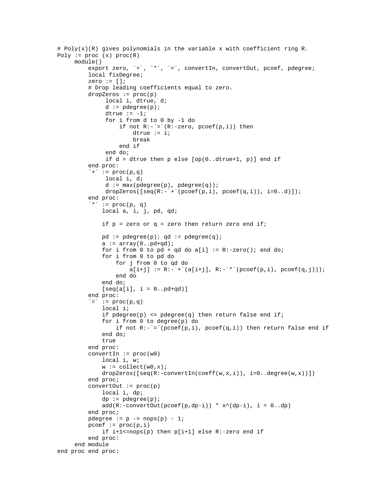```
# Poly(x)(R) gives polynomials in the variable x with coefficient ring R. 
Poly := proc(x) proc(R) module() 
          export zero, `+`, `*`, `=`, convertIn, convertOut, pcoef, pdegree; 
          local fixDegree; 
         zero := [];
          # Drop leading coefficients equal to zero. 
          dropZeros := proc(p) 
               local i, dtrue, d; 
              d := pdegree(p);
              dtrue := -1; for i from d to 0 by -1 do 
                   if not R:-`=' (R:-zero, pcoeff(p,i)) then
                       dtrue := i; break 
                    end if 
               end do; 
              if d = dtrue then p else [op(0..dtrue+1, p)] end if
          end proc: 
          \dot{f} := proc(p,q)
               local i, d; 
              d := max(pdegree(p), pdegree(q));dropZeros([seq(R:-`+`(pcoef(p,i), pcoef(q,i)), i=0..d)]); end proc: 
          `*` := proc(p, q) local a, i, j, pd, qd; 
             if p = zero or q = zero then return zero end if;
             pd := pdegree(p); qd := pdegree(q);
             a := array(0..pd+qd)ifor i from 0 to pd + qd do a[i] := R:-zero(); end do;
              for i from 0 to pd do 
                   for j from 0 to qd do 
                      a[i+j] := R:-`+^(a[i+j], R:-`*^(pcoeff(p,i), pcoeff(q,j))); end do 
              end do; 
              [seq(a[i], i = 0..pd+qd)] end proc: 
          \dot{=} := proc(p,q) local i; 
              if pdegree(p) <> pdegree(q) then return false end if;
              for i from 0 to degree(p) do 
                  if not R:-`='(pcoef(p,i)), pcoef(q,i)) then return false end if
              end do; 
              true 
          end proc: 
          convertIn := proc(w0) 
              local i, w; 
             w := collect(w0, x);dropZeros([seq(R:-convertIn(coeff(w,x,i)), i=0..degree(w,x))])) end proc; 
         convertOut := proc(p) local i, dp; 
             dp := pdegree(p);
             add(R:-convertOut(pcoef(p,dp-i)) * x^(dp-i), i = 0..dp) end proc; 
         pdegree := p \rightarrow nops(p) - 1;pcoef := proc(p, i)
              if i+1<=nops(p) then p[i+1] else R:-zero end if 
          end proc: 
      end module 
end proc end proc:
```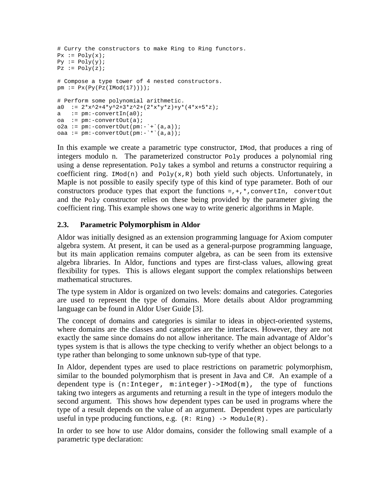```
# Curry the constructors to make Ring to Ring functors. 
Px := Poly(x);Py := Poly(y);Pz := Poly(z);# Compose a type tower of 4 nested constructors. 
pm := P_X(P_Y(P_Z(Ind(17))));
# Perform some polynomial arithmetic. 
a0 := 2*x^2+4*y^2+3*z^2+(2*x*y*z)+y*(4*x+5*z);a := \text{pm:}-\text{convertIn(a0)};oa := \overline{pm:-\text{convertOut}(a)};
o2a := pm:-convertOut(pm:-`+^(a,a));
oaa := pm:-convertOut(pm:-`*`(a,a));
```
In this example we create a parametric type constructor, IMod, that produces a ring of integers modulo n. The parameterized constructor Poly produces a polynomial ring using a dense representation. Poly takes a symbol and returns a constructor requiring a coefficient ring.  $IMod(n)$  and  $Poly(x,R)$  both yield such objects. Unfortunately, in Maple is not possible to easily specify type of this kind of type parameter. Both of our constructors produce types that export the functions  $=$ ,  $+$ ,  $*$ , convertIn, convertOut and the Poly constructor relies on these being provided by the parameter giving the coefficient ring. This example shows one way to write generic algorithms in Maple.

# **2.3. Parametric Polymorphism in Aldor**

Aldor was initially designed as an extension programming language for Axiom computer algebra system. At present, it can be used as a general-purpose programming language, but its main application remains computer algebra, as can be seen from its extensive algebra libraries. In Aldor, functions and types are first-class values, allowing great flexibility for types. This is allows elegant support the complex relationships between mathematical structures.

The type system in Aldor is organized on two levels: domains and categories. Categories are used to represent the type of domains. More details about Aldor programming language can be found in Aldor User Guide [3].

The concept of domains and categories is similar to ideas in object-oriented systems, where domains are the classes and categories are the interfaces. However, they are not exactly the same since domains do not allow inheritance. The main advantage of Aldor's types system is that is allows the type checking to verify whether an object belongs to a type rather than belonging to some unknown sub-type of that type.

In Aldor, dependent types are used to place restrictions on parametric polymorphism, similar to the bounded polymorphism that is present in Java and C#. An example of a dependent type is  $(n:Integer, m:integer) \rightarrow IMod(m)$ , the type of functions taking two integers as arguments and returning a result in the type of integers modulo the second argument. This shows how dependent types can be used in programs where the type of a result depends on the value of an argument. Dependent types are particularly useful in type producing functions, e.g. (R: Ring) -> Module(R).

In order to see how to use Aldor domains, consider the following small example of a parametric type declaration: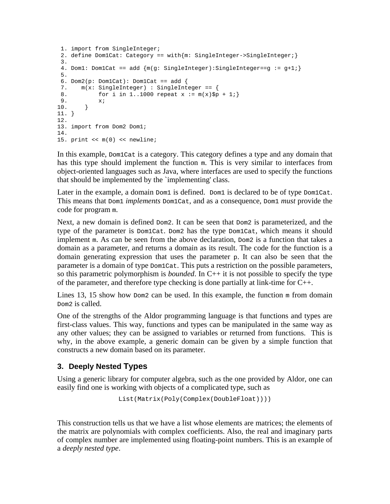```
 1. import from SingleInteger; 
2. define Dom1Cat: Category == with{m: SingleInteger->SingleInteger; }
 3. 
4. Dom1: Dom1Cat == add {m(q: SingleInteger):SingleInteger == q + 1; } 5. 
6. Dom2(p: Dom1Cat): Dom1Cat == add {
7. m(x: SingleInteger) : SingleInteger == {<br>8 for i in 1 1000 repeat x := m(x) sp
      for i in 1..1000 repeat x := m(x)$p + 1;}
9. x_i<br>10. }
10. } 
11. } 
12. 
13. import from Dom2 Dom1; 
14. 
15. print << m(0) << newline;
```
In this example, Dom1Cat is a category. This category defines a type and any domain that has this type should implement the function m. This is very similar to interfaces from object-oriented languages such as Java, where interfaces are used to specify the functions that should be implemented by the `implementing' class.

Later in the example, a domain  $Dom1$  is defined. Dom1 is declared to be of type  $Dom1Cat$ . This means that Dom1 *implements* Dom1Cat, and as a consequence, Dom1 *must* provide the code for program m.

Next, a new domain is defined Dom2. It can be seen that Dom2 is parameterized, and the type of the parameter is Dom1Cat. Dom2 has the type Dom1Cat, which means it should implement m. As can be seen from the above declaration,  $Dom2$  is a function that takes a domain as a parameter, and returns a domain as its result. The code for the function is a domain generating expression that uses the parameter p. It can also be seen that the parameter is a domain of type Dom1Cat. This puts a restriction on the possible parameters, so this parametric polymorphism is *bounded*. In C++ it is not possible to specify the type of the parameter, and therefore type checking is done partially at link-time for C++.

Lines 13, 15 show how  $Dom2$  can be used. In this example, the function  $m$  from domain Dom2 is called.

One of the strengths of the Aldor programming language is that functions and types are first-class values. This way, functions and types can be manipulated in the same way as any other values; they can be assigned to variables or returned from functions. This is why, in the above example, a generic domain can be given by a simple function that constructs a new domain based on its parameter.

# **3. Deeply Nested Types**

Using a generic library for computer algebra, such as the one provided by Aldor, one can easily find one is working with objects of a complicated type, such as

```
List(Matrix(Poly(Complex(DoubleFloat))))
```
This construction tells us that we have a list whose elements are matrices; the elements of the matrix are polynomials with complex coefficients. Also, the real and imaginary parts of complex number are implemented using floating-point numbers. This is an example of a *deeply nested type*.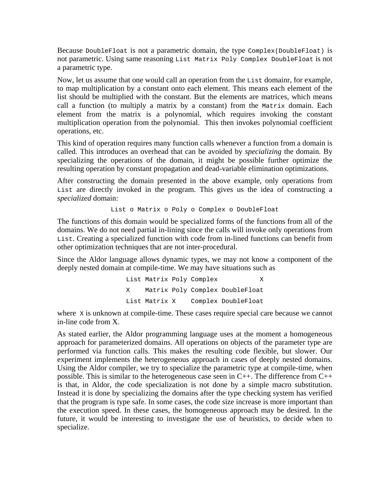Because DoubleFloat is not a parametric domain, the type Complex(DoubleFloat) is not parametric. Using same reasoning List Matrix Poly Complex DoubleFloat is not a parametric type.

Now, let us assume that one would call an operation from the List domainr, for example, to map multiplication by a constant onto each element. This means each element of the list should be multiplied with the constant. But the elements are matrices, which means call a function (to multiply a matrix by a constant) from the Matrix domain. Each element from the matrix is a polynomial, which requires invoking the constant multiplication operation from the polynomial. This then invokes polynomial coefficient operations, etc.

This kind of operation requires many function calls whenever a function from a domain is called. This introduces an overhead that can be avoided by *specializing* the domain. By specializing the operations of the domain, it might be possible further optimize the resulting operation by constant propagation and dead-variable elimination optimizations.

After constructing the domain presented in the above example, only operations from List are directly invoked in the program. This gives us the idea of constructing a *specialized* domain:

List o Matrix o Poly o Complex o DoubleFloat

The functions of this domain would be specialized forms of the functions from all of the domains. We do not need partial in-lining since the calls will invoke only operations from List. Creating a specialized function with code from in-lined functions can benefit from other optimization techniques that are not inter-procedural.

Since the Aldor language allows dynamic types, we may not know a component of the deeply nested domain at compile-time. We may have situations such as

> List Matrix Poly Complex X Matrix Poly Complex DoubleFloat List Matrix X Complex DoubleFloat

where x is unknown at compile-time. These cases require special care because we cannot in-line code from X.

As stated earlier, the Aldor programming language uses at the moment a homogeneous approach for parameterized domains. All operations on objects of the parameter type are performed via function calls. This makes the resulting code flexible, but slower. Our experiment implements the heterogeneous approach in cases of deeply nested domains. Using the Aldor compiler, we try to specialize the parametric type at compile-time, when possible. This is similar to the heterogeneous case seen in  $C_{++}$ . The difference from  $C_{++}$ is that, in Aldor, the code specialization is not done by a simple macro substitution. Instead it is done by specializing the domains after the type checking system has verified that the program is type safe. In some cases, the code size increase is more important than the execution speed. In these cases, the homogeneous approach may be desired. In the future, it would be interesting to investigate the use of heuristics, to decide when to specialize.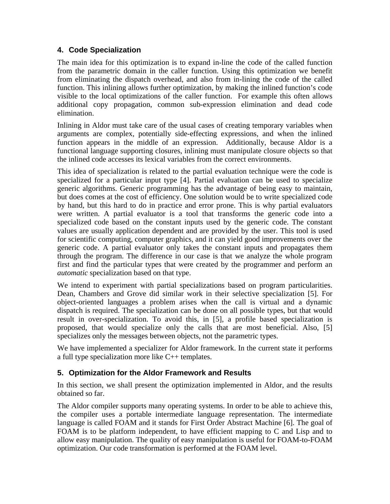# **4. Code Specialization**

The main idea for this optimization is to expand in-line the code of the called function from the parametric domain in the caller function. Using this optimization we benefit from eliminating the dispatch overhead, and also from in-lining the code of the called function. This inlining allows further optimization, by making the inlined function's code visible to the local optimizations of the caller function. For example this often allows additional copy propagation, common sub-expression elimination and dead code elimination.

Inlining in Aldor must take care of the usual cases of creating temporary variables when arguments are complex, potentially side-effecting expressions, and when the inlined function appears in the middle of an expression. Additionally, because Aldor is a functional language supporting closures, inlining must manipulate closure objects so that the inlined code accesses its lexical variables from the correct environments.

This idea of specialization is related to the partial evaluation technique were the code is specialized for a particular input type [4]. Partial evaluation can be used to specialize generic algorithms. Generic programming has the advantage of being easy to maintain, but does comes at the cost of efficiency. One solution would be to write specialized code by hand, but this hard to do in practice and error prone. This is why partial evaluators were written. A partial evaluator is a tool that transforms the generic code into a specialized code based on the constant inputs used by the generic code. The constant values are usually application dependent and are provided by the user. This tool is used for scientific computing, computer graphics, and it can yield good improvements over the generic code. A partial evaluator only takes the constant inputs and propagates them through the program. The difference in our case is that we analyze the whole program first and find the particular types that were created by the programmer and perform an *automatic* specialization based on that type.

We intend to experiment with partial specializations based on program particularities. Dean, Chambers and Grove did similar work in their selective specialization [5]. For object-oriented languages a problem arises when the call is virtual and a dynamic dispatch is required. The specialization can be done on all possible types, but that would result in over-specialization. To avoid this, in [5], a profile based specialization is proposed, that would specialize only the calls that are most beneficial. Also, [5] specializes only the messages between objects, not the parametric types.

We have implemented a specializer for Aldor framework. In the current state it performs a full type specialization more like C++ templates.

# **5. Optimization for the Aldor Framework and Results**

In this section, we shall present the optimization implemented in Aldor, and the results obtained so far.

The Aldor compiler supports many operating systems. In order to be able to achieve this, the compiler uses a portable intermediate language representation. The intermediate language is called FOAM and it stands for First Order Abstract Machine [6]. The goal of FOAM is to be platform independent, to have efficient mapping to C and Lisp and to allow easy manipulation. The quality of easy manipulation is useful for FOAM-to-FOAM optimization. Our code transformation is performed at the FOAM level.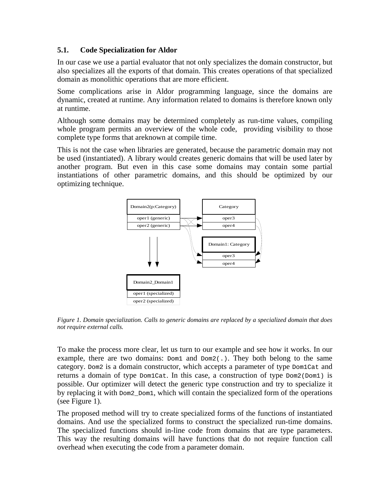### **5.1. Code Specialization for Aldor**

In our case we use a partial evaluator that not only specializes the domain constructor, but also specializes all the exports of that domain. This creates operations of that specialized domain as monolithic operations that are more efficient.

Some complications arise in Aldor programming language, since the domains are dynamic, created at runtime. Any information related to domains is therefore known only at runtime.

Although some domains may be determined completely as run-time values, compiling whole program permits an overview of the whole code, providing visibility to those complete type forms that areknown at compile time.

This is not the case when libraries are generated, because the parametric domain may not be used (instantiated). A library would creates generic domains that will be used later by another program. But even in this case some domains may contain some partial instantiations of other parametric domains, and this should be optimized by our optimizing technique.



*Figure 1. Domain specialization. Calls to generic domains are replaced by a specialized domain that does not require external calls.* 

To make the process more clear, let us turn to our example and see how it works. In our example, there are two domains:  $Dom1$  and  $Dom2(.)$ . They both belong to the same category. Dom2 is a domain constructor, which accepts a parameter of type Dom1Cat and returns a domain of type  $Dom1Cat$ . In this case, a construction of type  $Dom2(Dom1)$  is possible. Our optimizer will detect the generic type construction and try to specialize it by replacing it with  $Dom2$   $Dom1$ , which will contain the specialized form of the operations (see Figure 1).

The proposed method will try to create specialized forms of the functions of instantiated domains. And use the specialized forms to construct the specialized run-time domains. The specialized functions should in-line code from domains that are type parameters. This way the resulting domains will have functions that do not require function call overhead when executing the code from a parameter domain.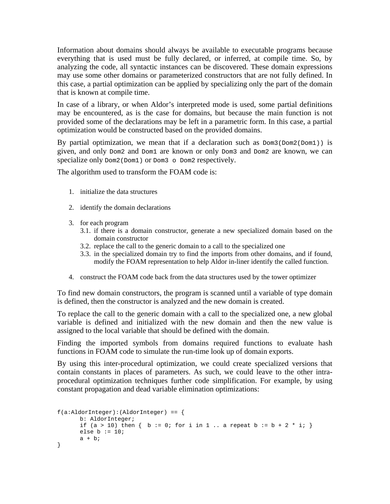Information about domains should always be available to executable programs because everything that is used must be fully declared, or inferred, at compile time. So, by analyzing the code, all syntactic instances can be discovered. These domain expressions may use some other domains or parameterized constructors that are not fully defined. In this case, a partial optimization can be applied by specializing only the part of the domain that is known at compile time.

In case of a library, or when Aldor's interpreted mode is used, some partial definitions may be encountered, as is the case for domains, but because the main function is not provided some of the declarations may be left in a parametric form. In this case, a partial optimization would be constructed based on the provided domains.

By partial optimization, we mean that if a declaration such as  $Dom3(Dom2(Dom1))$  is given, and only Dom2 and Dom1 are known or only Dom3 and Dom2 are known, we can specialize only  $Dom2(Dom1)$  or  $Dom3 \circ Dom2$  respectively.

The algorithm used to transform the FOAM code is:

- 1. initialize the data structures
- 2. identify the domain declarations
- 3. for each program
	- 3.1. if there is a domain constructor, generate a new specialized domain based on the domain constructor
	- 3.2. replace the call to the generic domain to a call to the specialized one
	- 3.3. in the specialized domain try to find the imports from other domains, and if found, modify the FOAM representation to help Aldor in-liner identify the called function.
- 4. construct the FOAM code back from the data structures used by the tower optimizer

To find new domain constructors, the program is scanned until a variable of type domain is defined, then the constructor is analyzed and the new domain is created.

To replace the call to the generic domain with a call to the specialized one, a new global variable is defined and initialized with the new domain and then the new value is assigned to the local variable that should be defined with the domain.

Finding the imported symbols from domains required functions to evaluate hash functions in FOAM code to simulate the run-time look up of domain exports.

By using this inter-procedural optimization, we could create specialized versions that contain constants in places of parameters. As such, we could leave to the other intraprocedural optimization techniques further code simplification. For example, by using constant propagation and dead variable elimination optimizations:

```
f(a:AldorInteger):(AldorInteger) == { 
       b: AldorInteger; 
      if (a > 10) then \{ b := 0; for i in 1... a repeat b := b + 2 * i;else b := 10;a + bi}
```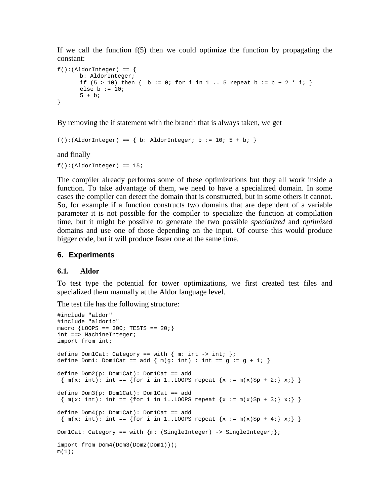If we call the function  $f(5)$  then we could optimize the function by propagating the constant:

```
f():(\text{AldorInteger}) == { b: AldorInteger; 
      if (5 > 10) then \{ b := 0; for i in 1 .. 5 repeat b := b + 2 * i; }
      else b := 10;
      5 + bi}
```
By removing the if statement with the branch that is always taken, we get

```
f():(\text{AldorInteger}) == { b: AldorInteger} b := 10; 5 + bi }
```
and finally

 $f():(\text{AldorInteger}) == 15;$ 

The compiler already performs some of these optimizations but they all work inside a function. To take advantage of them, we need to have a specialized domain. In some cases the compiler can detect the domain that is constructed, but in some others it cannot. So, for example if a function constructs two domains that are dependent of a variable parameter it is not possible for the compiler to specialize the function at compilation time, but it might be possible to generate the two possible *specialized* and *optimized* domains and use one of those depending on the input. Of course this would produce bigger code, but it will produce faster one at the same time.

### **6. Experiments**

#### **6.1. Aldor**

To test type the potential for tower optimizations, we first created test files and specialized them manually at the Aldor language level.

The test file has the following structure:

```
#include "aldor" 
#include "aldorio" 
macro {LOOPS == 300; TESTS == 20;} 
int ==> MachineInteger; 
import from int; 
define Dom1Cat: Category == with \{ m: int \rightarrow int; \};
define Dom1: Dom1Cat == add \{ m(g: int) : int == g := g + 1; \}define Dom2(p: Dom1Cat): Dom1Cat == add 
\{m(x: int): int == \{for i in 1..LOOPS repeat \{x := m(x) $p + 2i} x_i \}define Dom3(p: Dom1Cat): Dom1Cat == add 
 \{ m(x: int): int == \{ for i in 1..LOOPS repeat \{x := m(x) \$p + 3i\} \} \}define Dom4(p: Dom1Cat): Dom1Cat == add 
 \{ m(x: int): int == \{ for i in 1..LOOPS repeat \{x := m(x)$p + 4i} xi \}Dom1Cat: Category == with {m: (SingleInteger) \rightarrow SingleInteger};
import from Dom4(Dom3(Dom2(Dom1))); 
m(1);
```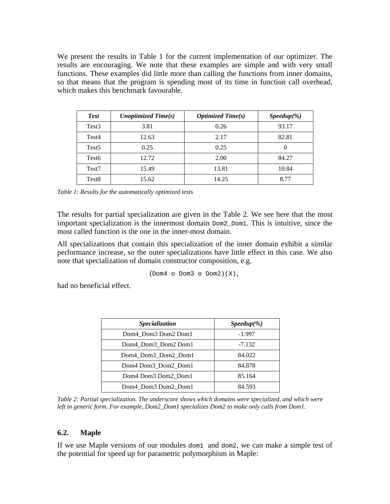We present the results in Table 1 for the current implementation of our optimizer. The results are encouraging. We note that these examples are simple and with very small functions. These examples did little more than calling the functions from inner domains, so that means that the program is spending most of its time in function call overhead, which makes this benchmark favourable.

| <b>Test</b>       | Unoptimized Time $(s)$ | <i><b>Optimized Time(s)</b></i> | $Speedup(\%)$ |
|-------------------|------------------------|---------------------------------|---------------|
| Test <sub>3</sub> | 3.81                   | 0.26                            | 93.17         |
| Test4             | 12.63                  | 2.17                            | 82.81         |
| Test <sub>5</sub> | 0.25                   | 0.25                            | $\theta$      |
| Test <sub>6</sub> | 12.72                  | 2.00                            | 84.27         |
| Test <sub>7</sub> | 15.49                  | 13.81                           | 10.84         |
| Test <sub>8</sub> | 15.62                  | 14.25                           | 8.77          |

*Table 1: Results for the automatically optimized tests* 

The results for partial specialization are given in the Table 2. We see here that the most important specialization is the innermost domain Dom2\_Dom1. This is intuitive, since the most called function is the one in the inner-most domain.

All specializations that contain this specialization of the inner domain exhibit a similar performance increase, so the outer specializations have little effect in this case. We also note that specialization of domain constructor composition, e.g.

 $(Dom4 o Dom3 o Dom2)(X)$ ,

had no beneficial effect.

| <i><b>Specialization</b></i> | $Speedup(\%)$ |
|------------------------------|---------------|
| Dom4 Dom3 Dom2 Dom1          | $-1.997$      |
| Dom4_Dom3_Dom2 Dom1          | $-7.132$      |
| Dom4_Dom3_Dom2_Dom1          | 84.022        |
| Dom4 Dom3 Dom2 Dom1          | 84.878        |
| Dom4 Dom3 Dom2 Dom1          | 85.164        |
| Dom4 Dom3 Dom2 Dom1          | 84.593        |

*Table 2: Partial specialization. The underscore shows which domains were specialized, and which were left in generic form. For example, Dom2\_Dom1 specializes Dom2 to make only calls from Dom1.* 

### **6.2. Maple**

If we use Maple versions of our modules dom1 and dom2, we can make a simple test of the potential for speed up for parametric polymorphism in Maple: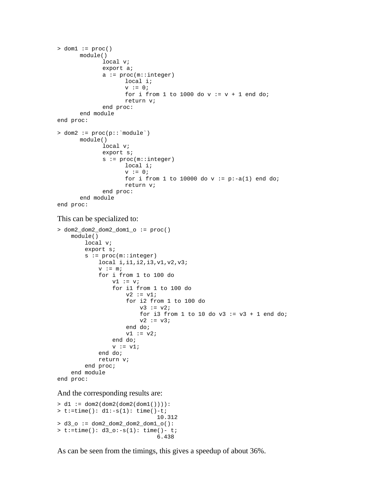```
> dom1 := proc() module() 
               local v; 
               export a; 
               a := proc(m::integer) 
                       local i; 
                      v := 0;for i from 1 to 1000 do v := v + 1 end do;
                       return v; 
               end proc: 
        end module 
end proc: 
> dom2 := proc(p::`module`) 
        module() 
               local v; 
               export s; 
               s := proc(m::integer) 
                       local i; 
                      v := 0;for i from 1 to 10000 do v := p:-a(1) end do;
                       return v; 
                end proc: 
        end module 
end proc:
```
#### This can be specialized to:

```
> dom2_dom2_dom2_dom1_o := proc() 
     module() 
         local v; 
         export s; 
         s := proc(m::integer) 
              local i,i1,i2,i3,v1,v2,v3; 
             v := m; for i from 1 to 100 do 
                 v1 := v; for i1 from 1 to 100 do 
                      v2 := v1; for i2 from 1 to 100 do 
                          v3 := v2;for i3 from 1 to 10 do v3 := v3 + 1 end do;
                          v2 := v3; end do; 
                     v1 := v2; end do; 
                 v := v1; end do; 
              return v; 
         end proc; 
     end module 
end proc:
```
And the corresponding results are:

```
> d1 := dom2(dom2(dom2(dom1()))): 
> t:=time() : d1:-s(1): time() -t; 10.312 
> d3_o := dom2_dom2_dom2_dom1_o(): 
> t:=time() : d3_o:-s(1): time() - t; 6.438
```
As can be seen from the timings, this gives a speedup of about 36%.